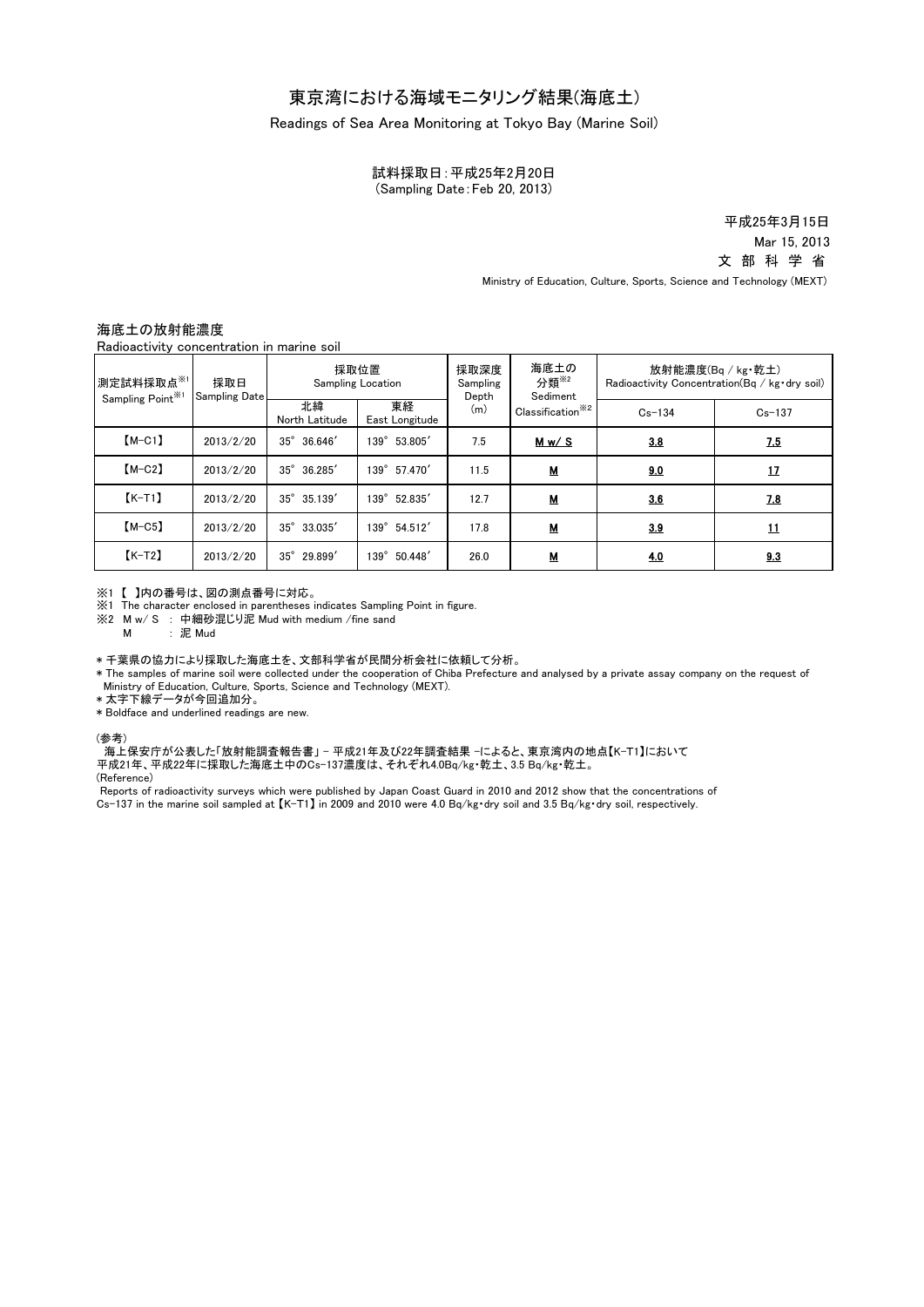## 東京湾における海域モニタリング結果(海底土)

Readings of Sea Area Monitoring at Tokyo Bay (Marine Soil)

試料採取日:平成25年2月20日 (Sampling Date:Feb 20, 2013)

> 平成25年3月15日 Mar 15, 2013 文 部 科 学 省

Ministry of Education, Culture, Sports, Science and Technology (MEXT)

## 海底土の放射能濃度

Radioactivity concentration in marine soil

| 測定試料採取点※1<br>Sampling Point <sup>361</sup> | 採取日<br><b>Sampling Date</b> | 採取位置<br><b>Sampling Location</b> |                       | 採取深度<br>Sampling<br>Depth | 海底土の<br>分類 <sup>※2</sup><br>Sediment | 放射能濃度(Bq / kg·乾土)<br>Radioactivity Concentration (Bq / kg · dry soil) |            |
|--------------------------------------------|-----------------------------|----------------------------------|-----------------------|---------------------------|--------------------------------------|-----------------------------------------------------------------------|------------|
|                                            |                             | 北緯<br>North Latitude             | 東経<br>East Longitude  | (m)                       | Classification <sup>362</sup>        | $Cs - 134$                                                            | $Cs - 137$ |
| $[M-C1]$                                   | 2013/2/20                   | $35^\circ$<br>36.646'            | 139° 53.805'          | 7.5                       | M w / S                              | 3.8                                                                   | <u>7.5</u> |
| $[M-C2]$                                   | 2013/2/20                   | $35^{\circ}$<br>36.285           | 139° 57.470'          | 11.5                      | $M$                                  | 9.0                                                                   | <u>17</u>  |
| $K-T1$                                     | 2013/2/20                   | 35° 35.139'                      | 139° 52.835'          | 12.7                      | М                                    | 3.6                                                                   | 7.8        |
| $[M-C5]$                                   | 2013/2/20                   | 33.035'<br>$35^\circ$            | 139° 54.512'          | 17.8                      | $M$                                  | 3.9                                                                   | <u>11</u>  |
| $K-T2$                                     | 2013/2/20                   | $35^{\circ}$<br>29.899'          | 50.448<br>$139^\circ$ | 26.0                      | $M$                                  | 4.0                                                                   | 9.3        |

※1 【 】内の番号は、図の測点番号に対応。

**EXAMPLE STATE COMMENTS PROPRESS** indicates Sampling Point in figure.

※2 M w/ S : 中細砂混じり泥 Mud with medium /fine sand

M : 泥 Mud

\* 千葉県の協力により採取した海底土を、文部科学省が民間分析会社に依頼して分析。

\* The samples of marine soil were collected under the cooperation of Chiba Prefecture and analysed by a private assay company on the request of Ministry of Education, Culture, Sports, Science and Technology (MEXT).

\* 太字下線データが今回追加分。

\* Boldface and underlined readings are new.

(参考)

海上保安庁が公表した「放射能調査報告書」 - 平成21年及び22年調査結果 -によると、東京湾内の地点【K-T1】において 平成21年、平成22年に採取した海底土中のCs-137濃度は、それぞれ4.0Bq/kg・乾土、3.5 Bq/kg・乾土。

(Reference)

Reports of radioactivity surveys which were published by Japan Coast Guard in 2010 and 2012 show that the concentrations of Cs-137 in the marine soil sampled at  $K-T1$  in 2009 and 2010 were 4.0 Bq/kg·dry soil and 3.5 Bq/kg·dry soil, respectively.